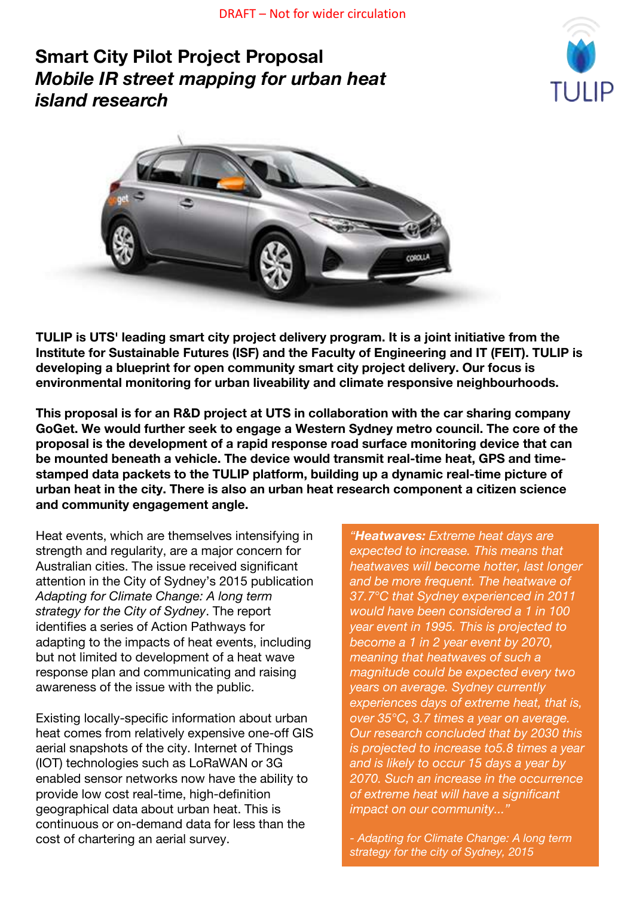# **Smart City Pilot Project Proposal** *Mobile IR street mapping for urban heat island research*





**TULIP is UTS' leading smart city project delivery program. It is a joint initiative from the Institute for Sustainable Futures (ISF) and the Faculty of Engineering and IT (FEIT). TULIP is developing a blueprint for open community smart city project delivery. Our focus is environmental monitoring for urban liveability and climate responsive neighbourhoods.**

**This proposal is for an R&D project at UTS in collaboration with the car sharing company GoGet. We would further seek to engage a Western Sydney metro council. The core of the proposal is the development of a rapid response road surface monitoring device that can be mounted beneath a vehicle. The device would transmit real-time heat, GPS and timestamped data packets to the TULIP platform, building up a dynamic real-time picture of urban heat in the city. There is also an urban heat research component a citizen science and community engagement angle.**

Heat events, which are themselves intensifying in strength and regularity, are a major concern for Australian cities. The issue received significant attention in the City of Sydney's 2015 publication *Adapting for Climate Change: A long term strategy for the City of Sydney*. The report identifies a series of Action Pathways for adapting to the impacts of heat events, including but not limited to development of a heat wave response plan and communicating and raising awareness of the issue with the public.

Existing locally-specific information about urban heat comes from relatively expensive one-off GIS aerial snapshots of the city. Internet of Things (IOT) technologies such as LoRaWAN or 3G enabled sensor networks now have the ability to provide low cost real-time, high-definition geographical data about urban heat. This is continuous or on-demand data for less than the cost of chartering an aerial survey.

*"Heatwaves: Extreme heat days are expected to increase. This means that heatwaves will become hotter, last longer and be more frequent. The heatwave of 37.7°C that Sydney experienced in 2011 would have been considered a 1 in 100 year event in 1995. This is projected to become a 1 in 2 year event by 2070, meaning that heatwaves of such a magnitude could be expected every two years on average. Sydney currently experiences days of extreme heat, that is, over 35°C, 3.7 times a year on average. Our research concluded that by 2030 this is projected to increase to5.8 times a year and is likely to occur 15 days a year by 2070. Such an increase in the occurrence of extreme heat will have a significant impact on our community..."*

*- Adapting for Climate Change: A long term strategy for the city of Sydney, 2015*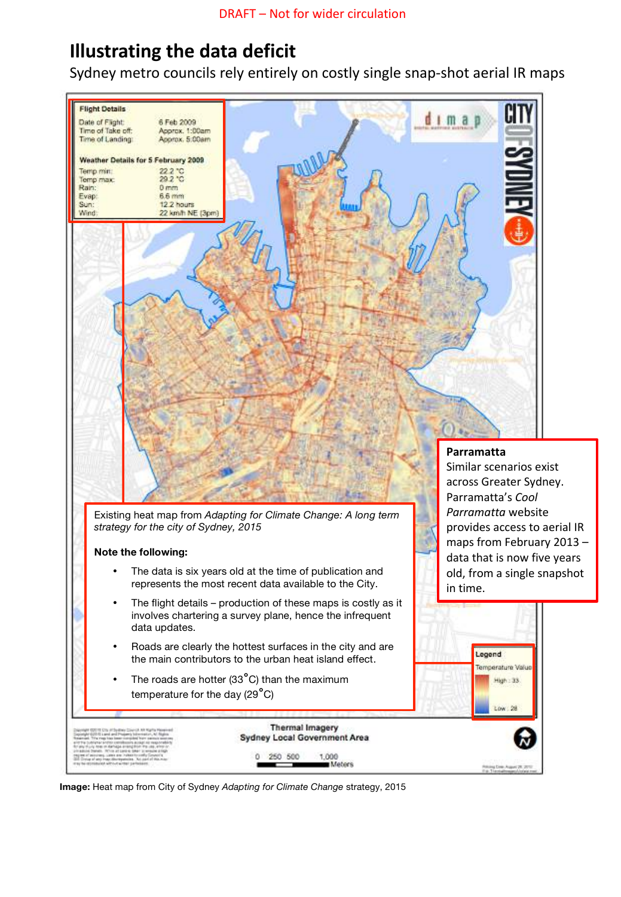# **Illustrating the data deficit**

Sydney metro councils rely entirely on costly single snap-shot aerial IR maps



**Image:** Heat map from City of Sydney *Adapting for Climate Change* strategy, 2015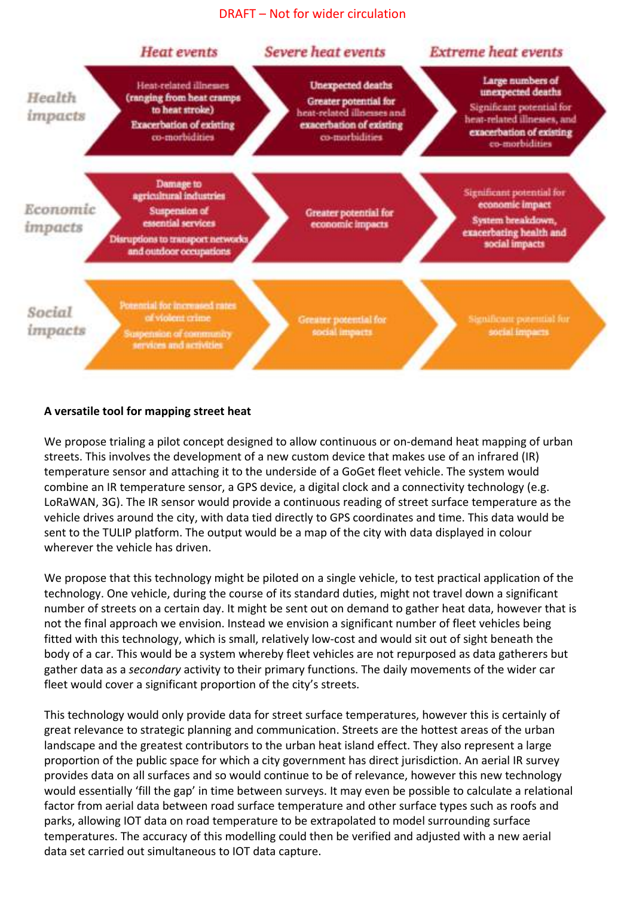DRAFT – Not for wider circulation



### **A versatile tool for mapping street heat**

We propose trialing a pilot concept designed to allow continuous or on-demand heat mapping of urban streets. This involves the development of a new custom device that makes use of an infrared (IR) temperature sensor and attaching it to the underside of a GoGet fleet vehicle. The system would combine an IR temperature sensor, a GPS device, a digital clock and a connectivity technology (e.g. LoRaWAN, 3G). The IR sensor would provide a continuous reading of street surface temperature as the vehicle drives around the city, with data tied directly to GPS coordinates and time. This data would be sent to the TULIP platform. The output would be a map of the city with data displayed in colour wherever the vehicle has driven.

We propose that this technology might be piloted on a single vehicle, to test practical application of the technology. One vehicle, during the course of its standard duties, might not travel down a significant number of streets on a certain day. It might be sent out on demand to gather heat data, however that is not the final approach we envision. Instead we envision a significant number of fleet vehicles being fitted with this technology, which is small, relatively low-cost and would sit out of sight beneath the body of a car. This would be a system whereby fleet vehicles are not repurposed as data gatherers but gather data as a *secondary* activity to their primary functions. The daily movements of the wider car fleet would cover a significant proportion of the city's streets.

This technology would only provide data for street surface temperatures, however this is certainly of great relevance to strategic planning and communication. Streets are the hottest areas of the urban landscape and the greatest contributors to the urban heat island effect. They also represent a large proportion of the public space for which a city government has direct jurisdiction. An aerial IR survey provides data on all surfaces and so would continue to be of relevance, however this new technology would essentially 'fill the gap' in time between surveys. It may even be possible to calculate a relational factor from aerial data between road surface temperature and other surface types such as roofs and parks, allowing IOT data on road temperature to be extrapolated to model surrounding surface temperatures. The accuracy of this modelling could then be verified and adjusted with a new aerial data set carried out simultaneous to IOT data capture.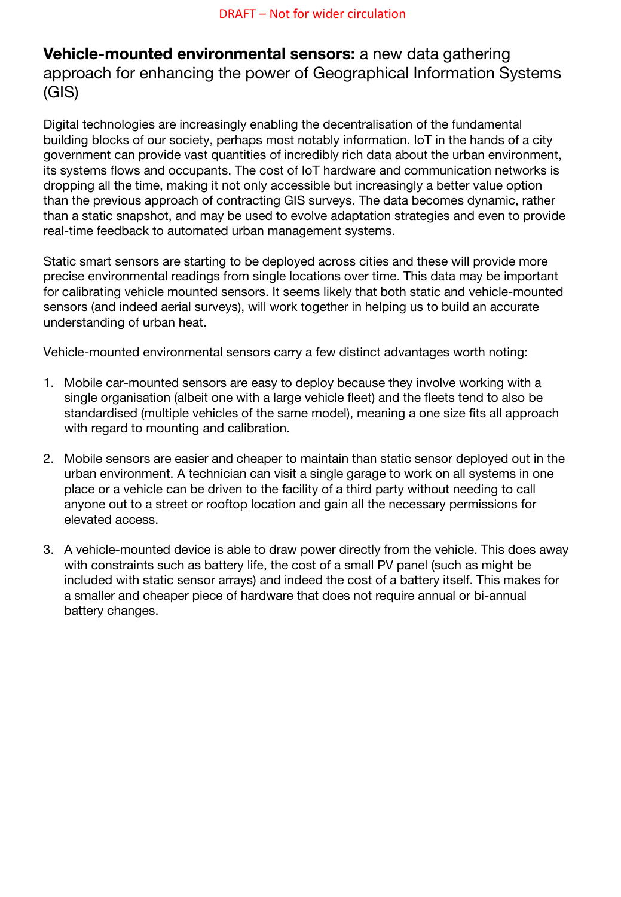# **Vehicle-mounted environmental sensors:** a new data gathering approach for enhancing the power of Geographical Information Systems (GIS)

Digital technologies are increasingly enabling the decentralisation of the fundamental building blocks of our society, perhaps most notably information. IoT in the hands of a city government can provide vast quantities of incredibly rich data about the urban environment, its systems flows and occupants. The cost of IoT hardware and communication networks is dropping all the time, making it not only accessible but increasingly a better value option than the previous approach of contracting GIS surveys. The data becomes dynamic, rather than a static snapshot, and may be used to evolve adaptation strategies and even to provide real-time feedback to automated urban management systems.

Static smart sensors are starting to be deployed across cities and these will provide more precise environmental readings from single locations over time. This data may be important for calibrating vehicle mounted sensors. It seems likely that both static and vehicle-mounted sensors (and indeed aerial surveys), will work together in helping us to build an accurate understanding of urban heat.

Vehicle-mounted environmental sensors carry a few distinct advantages worth noting:

- 1. Mobile car-mounted sensors are easy to deploy because they involve working with a single organisation (albeit one with a large vehicle fleet) and the fleets tend to also be standardised (multiple vehicles of the same model), meaning a one size fits all approach with regard to mounting and calibration.
- 2. Mobile sensors are easier and cheaper to maintain than static sensor deployed out in the urban environment. A technician can visit a single garage to work on all systems in one place or a vehicle can be driven to the facility of a third party without needing to call anyone out to a street or rooftop location and gain all the necessary permissions for elevated access.
- 3. A vehicle-mounted device is able to draw power directly from the vehicle. This does away with constraints such as battery life, the cost of a small PV panel (such as might be included with static sensor arrays) and indeed the cost of a battery itself. This makes for a smaller and cheaper piece of hardware that does not require annual or bi-annual battery changes.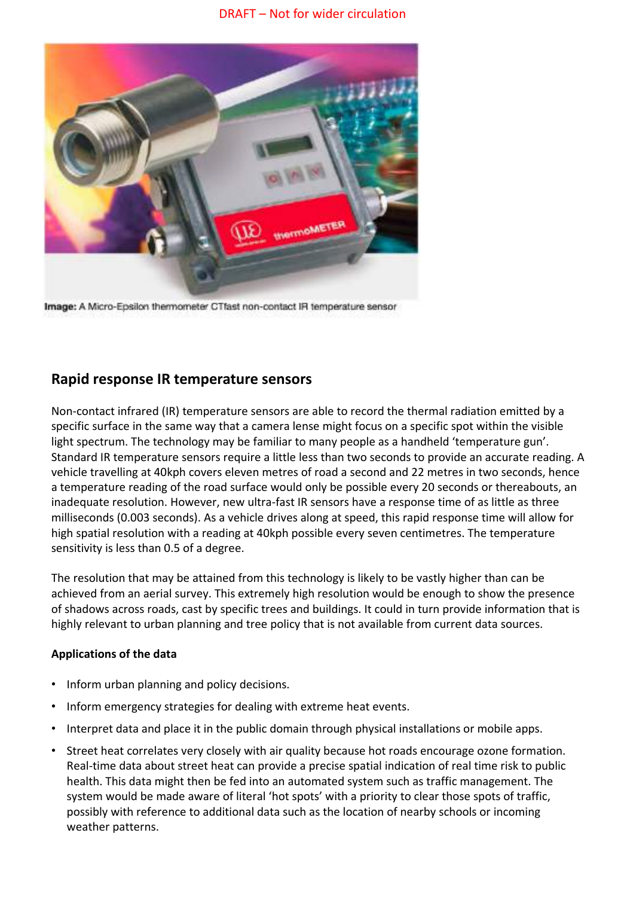

Image: A Micro-Epsilon thermometer CTfast non-contact IR temperature sensor

# **Rapid response IR temperature sensors**

Non-contact infrared (IR) temperature sensors are able to record the thermal radiation emitted by a specific surface in the same way that a camera lense might focus on a specific spot within the visible light spectrum. The technology may be familiar to many people as a handheld 'temperature gun'. Standard IR temperature sensors require a little less than two seconds to provide an accurate reading. A vehicle travelling at 40kph covers eleven metres of road a second and 22 metres in two seconds, hence a temperature reading of the road surface would only be possible every 20 seconds or thereabouts, an inadequate resolution. However, new ultra-fast IR sensors have a response time of as little as three milliseconds (0.003 seconds). As a vehicle drives along at speed, this rapid response time will allow for high spatial resolution with a reading at 40kph possible every seven centimetres. The temperature sensitivity is less than 0.5 of a degree.

The resolution that may be attained from this technology is likely to be vastly higher than can be achieved from an aerial survey. This extremely high resolution would be enough to show the presence of shadows across roads, cast by specific trees and buildings. It could in turn provide information that is highly relevant to urban planning and tree policy that is not available from current data sources.

### **Applications of the data**

- Inform urban planning and policy decisions.
- Inform emergency strategies for dealing with extreme heat events.
- Interpret data and place it in the public domain through physical installations or mobile apps.
- Street heat correlates very closely with air quality because hot roads encourage ozone formation. Real-time data about street heat can provide a precise spatial indication of real time risk to public health. This data might then be fed into an automated system such as traffic management. The system would be made aware of literal 'hot spots' with a priority to clear those spots of traffic, possibly with reference to additional data such as the location of nearby schools or incoming weather patterns.